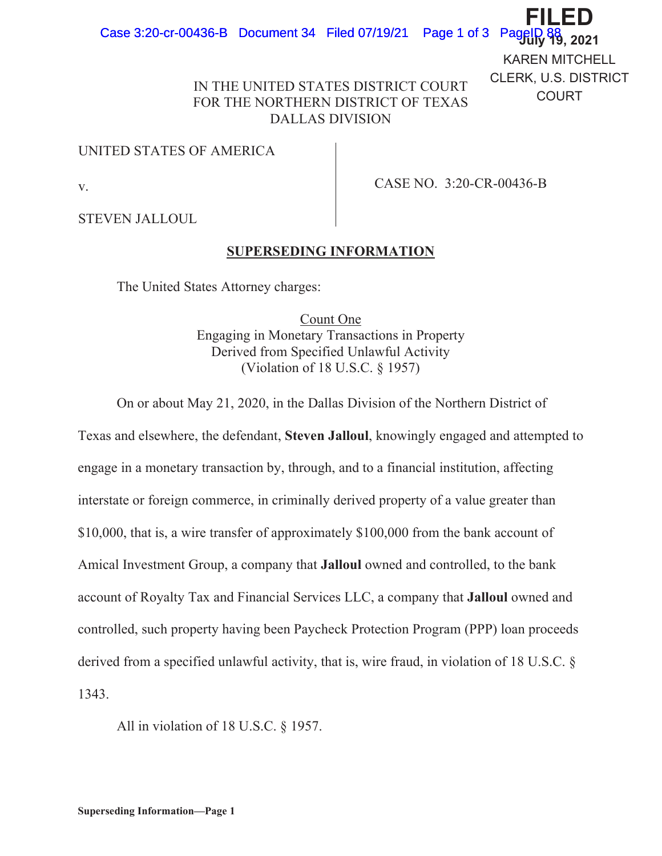KAREN MITCHELL CLERK, U.S. DISTRICT COURT

**),/('**

## IN THE UNITED STATES DISTRICT COURT FOR THE NORTHERN DISTRICT OF TEXAS DALLAS DIVISION

## UNITED STATES OF AMERICA

v.

CASE NO. 3:20-CR-00436-B

STEVEN JALLOUL

## **SUPERSEDING INFORMATION**

The United States Attorney charges:

Count One Engaging in Monetary Transactions in Property Derived from Specified Unlawful Activity (Violation of 18 U.S.C. § 1957)

On or about May 21, 2020, in the Dallas Division of the Northern District of

Texas and elsewhere, the defendant, **Steven Jalloul**, knowingly engaged and attempted to engage in a monetary transaction by, through, and to a financial institution, affecting interstate or foreign commerce, in criminally derived property of a value greater than \$10,000, that is, a wire transfer of approximately \$100,000 from the bank account of Amical Investment Group, a company that **Jalloul** owned and controlled, to the bank account of Royalty Tax and Financial Services LLC, a company that **Jalloul** owned and controlled, such property having been Paycheck Protection Program (PPP) loan proceeds derived from a specified unlawful activity, that is, wire fraud, in violation of 18 U.S.C. § 1343.

All in violation of 18 U.S.C. § 1957.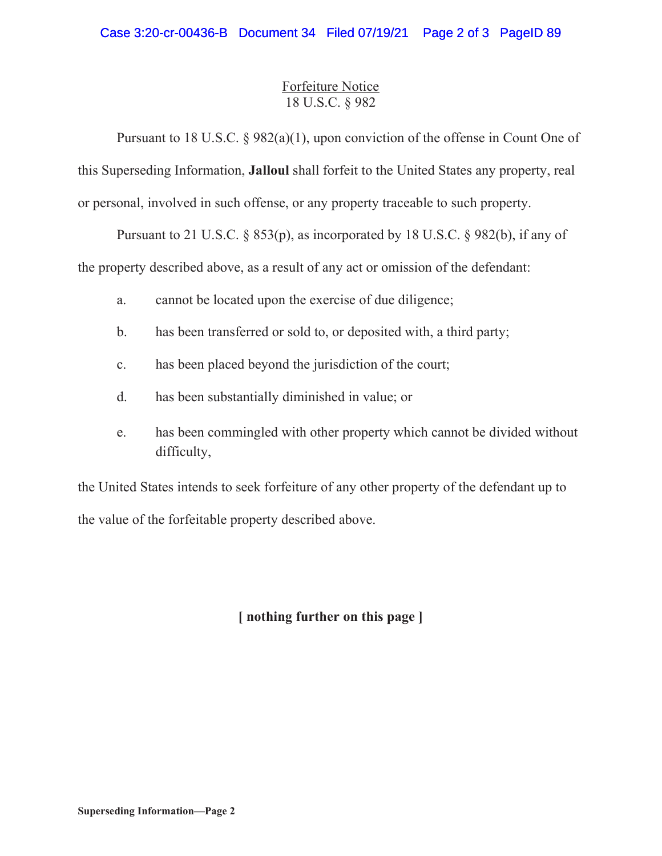## Forfeiture Notice 18 U.S.C. § 982

Pursuant to 18 U.S.C. § 982(a)(1), upon conviction of the offense in Count One of this Superseding Information, **Jalloul** shall forfeit to the United States any property, real or personal, involved in such offense, or any property traceable to such property.

Pursuant to 21 U.S.C.  $\S$  853(p), as incorporated by 18 U.S.C.  $\S$  982(b), if any of the property described above, as a result of any act or omission of the defendant:

- a. cannot be located upon the exercise of due diligence;
- b. has been transferred or sold to, or deposited with, a third party;
- c. has been placed beyond the jurisdiction of the court;
- d. has been substantially diminished in value; or
- e. has been commingled with other property which cannot be divided without difficulty,

the United States intends to seek forfeiture of any other property of the defendant up to the value of the forfeitable property described above.

**[ nothing further on this page ]**